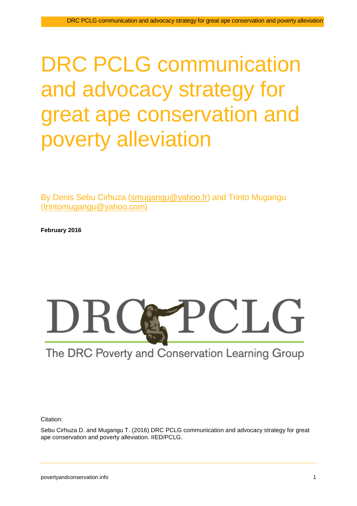# DRC PCLG communication and advocacy strategy for great ape conservation and poverty alleviation

By Denis Sebu Cirhuza [\(smugangu@yahoo.fr\)](mailto:smugangu@yahoo.fr) and Trinto Mugangu [\(trintomugangu@yahoo.com\)](mailto:trintomugangu@yahoo.com)

**February 2016**



# The DRC Poverty and Conservation Learning Group

Citation:

Sebu Cirhuza D. and Mugangu T. (2016) DRC PCLG communication and advocacy strategy for great ape conservation and poverty alleviation. IIED/PCLG.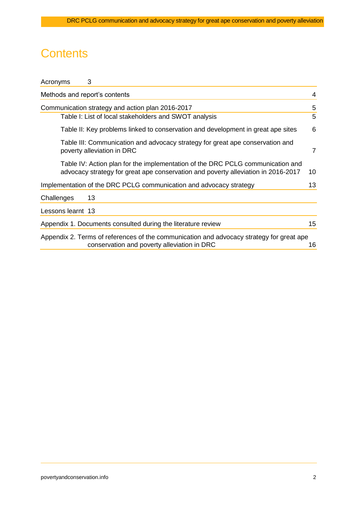# **Contents**

| 3<br>Acronyms                 |                                                                                                                                                                     |    |
|-------------------------------|---------------------------------------------------------------------------------------------------------------------------------------------------------------------|----|
| Methods and report's contents |                                                                                                                                                                     | 4  |
|                               | Communication strategy and action plan 2016-2017                                                                                                                    | 5  |
|                               | Table I: List of local stakeholders and SWOT analysis                                                                                                               | 5  |
|                               | Table II: Key problems linked to conservation and development in great ape sites                                                                                    | 6  |
| poverty alleviation in DRC    | Table III: Communication and advocacy strategy for great ape conservation and                                                                                       | 7  |
|                               | Table IV: Action plan for the implementation of the DRC PCLG communication and<br>advocacy strategy for great ape conservation and poverty alleviation in 2016-2017 | 10 |
|                               | Implementation of the DRC PCLG communication and advocacy strategy                                                                                                  | 13 |
| Challenges<br>13              |                                                                                                                                                                     |    |
| Lessons learnt 13             |                                                                                                                                                                     |    |
|                               | Appendix 1. Documents consulted during the literature review                                                                                                        | 15 |
|                               | Appendix 2. Terms of references of the communication and advocacy strategy for great ape<br>conservation and poverty alleviation in DRC                             | 16 |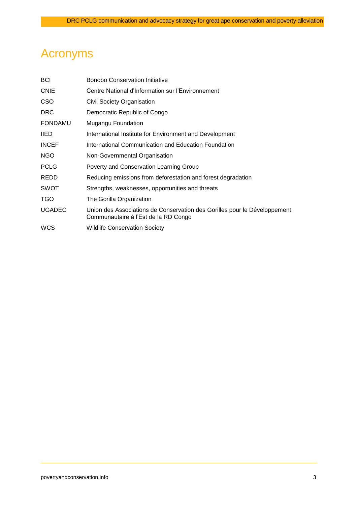# <span id="page-2-0"></span>Acronyms

| <b>BCI</b>     | <b>Bonobo Conservation Initiative</b>                                                                             |
|----------------|-------------------------------------------------------------------------------------------------------------------|
| <b>CNIE</b>    | Centre National d'Information sur l'Environnement                                                                 |
| CSO            | Civil Society Organisation                                                                                        |
| <b>DRC</b>     | Democratic Republic of Congo                                                                                      |
| <b>FONDAMU</b> | Mugangu Foundation                                                                                                |
| <b>IIED</b>    | International Institute for Environment and Development                                                           |
| <b>INCEF</b>   | International Communication and Education Foundation                                                              |
| NGO            | Non-Governmental Organisation                                                                                     |
| <b>PCLG</b>    | Poverty and Conservation Learning Group                                                                           |
| REDD           | Reducing emissions from deforestation and forest degradation                                                      |
| <b>SWOT</b>    | Strengths, weaknesses, opportunities and threats                                                                  |
| TGO            | The Gorilla Organization                                                                                          |
| <b>UGADEC</b>  | Union des Associations de Conservation des Gorilles pour le Développement<br>Communautaire à l'Est de la RD Congo |
| <b>WCS</b>     | <b>Wildlife Conservation Society</b>                                                                              |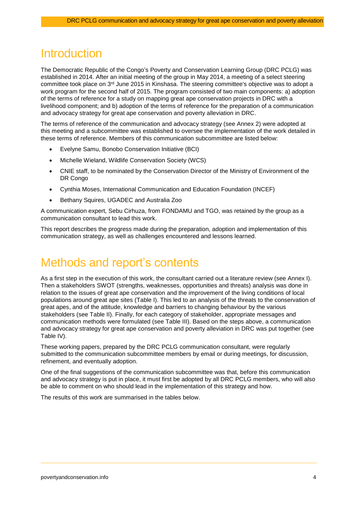### **Introduction**

The Democratic Republic of the Congo's Poverty and Conservation Learning Group (DRC PCLG) was established in 2014. After an initial meeting of the group in May 2014, a meeting of a select steering committee took place on 3<sup>rd</sup> June 2015 in Kinshasa. The steering committee's objective was to adopt a work program for the second half of 2015. The program consisted of two main components: a) adoption of the terms of reference for a study on mapping great ape conservation projects in DRC with a livelihood component; and b) adoption of the terms of reference for the preparation of a communication and advocacy strategy for great ape conservation and poverty alleviation in DRC.

The terms of reference of the communication and advocacy strategy (see Annex 2) were adopted at this meeting and a subcommittee was established to oversee the implementation of the work detailed in these terms of reference. Members of this communication subcommittee are listed below:

- Evelyne Samu, Bonobo Conservation Initiative (BCI)
- Michelle Wieland, Wildlife Conservation Society (WCS)
- CNIE staff, to be nominated by the Conservation Director of the Ministry of Environment of the DR Congo
- Cynthia Moses, International Communication and Education Foundation (INCEF)
- Bethany Squires, UGADEC and Australia Zoo

A communication expert, Sebu Cirhuza, from FONDAMU and TGO, was retained by the group as a communication consultant to lead this work.

This report describes the progress made during the preparation, adoption and implementation of this communication strategy, as well as challenges encountered and lessons learned.

### <span id="page-3-0"></span>Methods and report's contents

As a first step in the execution of this work, the consultant carried out a literature review (see Annex I). Then a stakeholders SWOT (strengths, weaknesses, opportunities and threats) analysis was done in relation to the issues of great ape conservation and the improvement of the living conditions of local populations around great ape sites (Table I). This led to an analysis of the threats to the conservation of great apes, and of the attitude, knowledge and barriers to changing behaviour by the various stakeholders (see Table II). Finally, for each category of stakeholder, appropriate messages and communication methods were formulated (see Table III). Based on the steps above, a communication and advocacy strategy for great ape conservation and poverty alleviation in DRC was put together (see Table IV).

These working papers, prepared by the DRC PCLG communication consultant, were regularly submitted to the communication subcommittee members by email or during meetings, for discussion, refinement, and eventually adoption.

One of the final suggestions of the communication subcommittee was that, before this communication and advocacy strategy is put in place, it must first be adopted by all DRC PCLG members, who will also be able to comment on who should lead in the implementation of this strategy and how.

The results of this work are summarised in the tables below.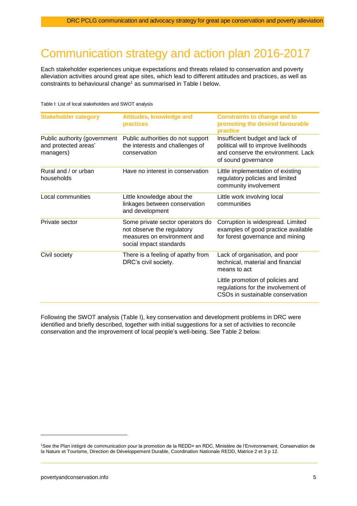# <span id="page-4-0"></span>Communication strategy and action plan 2016-2017

Each stakeholder experiences unique expectations and threats related to conservation and poverty alleviation activities around great ape sites, which lead to different attitudes and practices, as well as constraints to behavioural change<sup>1</sup> as summarised in Table I below.

<span id="page-4-1"></span>Table I: List of local stakeholders and SWOT analysis

| <b>Stakeholder category</b>                                       | <b>Attitudes, knowledge and</b><br>practices                                                                             | <b>Constraints to change and to</b><br>promoting the desired favourable<br>practice                                                   |
|-------------------------------------------------------------------|--------------------------------------------------------------------------------------------------------------------------|---------------------------------------------------------------------------------------------------------------------------------------|
| Public authority (government<br>and protected areas'<br>managers) | Public authorities do not support<br>the interests and challenges of<br>conservation                                     | Insufficient budget and lack of<br>political will to improve livelihoods<br>and conserve the environment. Lack<br>of sound governance |
| Rural and / or urban<br>households                                | Have no interest in conservation                                                                                         | Little implementation of existing<br>regulatory policies and limited<br>community involvement                                         |
| Local communities                                                 | Little knowledge about the<br>linkages between conservation<br>and development                                           | Little work involving local<br>communities                                                                                            |
| Private sector                                                    | Some private sector operators do<br>not observe the regulatory<br>measures on environment and<br>social impact standards | Corruption is widespread. Limited<br>examples of good practice available<br>for forest governance and mining                          |
| Civil society                                                     | There is a feeling of apathy from<br>DRC's civil society.                                                                | Lack of organisation, and poor<br>technical, material and financial<br>means to act                                                   |
|                                                                   |                                                                                                                          | Little promotion of policies and<br>regulations for the involvement of<br>CSOs in sustainable conservation                            |

Following the SWOT analysis (Table I), key conservation and development problems in DRC were identified and briefly described, together with initial suggestions for a set of activities to reconcile conservation and the improvement of local people's well-being. See Table 2 below.

<sup>1</sup>See the Plan intégré de communication pour la promotion de la REDD+ en RDC, Ministère de l'Environnement, Conservation de la Nature et Tourisme, Direction de Développement Durable, Coordination Nationale REDD, Matrice 2 et 3 p 12.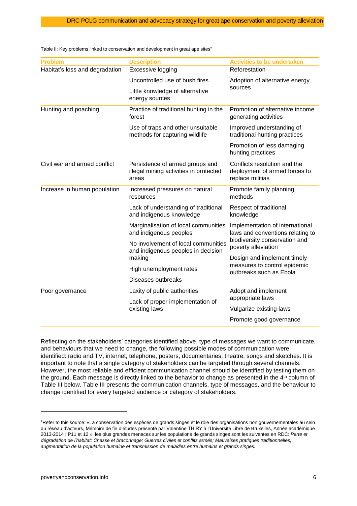| <b>Problem</b>                 | <b>Description</b>                                                                 | <b>Activities to be undertaken</b>                                                |  |  |
|--------------------------------|------------------------------------------------------------------------------------|-----------------------------------------------------------------------------------|--|--|
| Habitat's loss and degradation | Excessive logging                                                                  | Reforestation                                                                     |  |  |
|                                | Uncontrolled use of bush fires                                                     | Adoption of alternative energy                                                    |  |  |
|                                | Little knowledge of alternative<br>energy sources                                  | sources                                                                           |  |  |
| Hunting and poaching           | Practice of traditional hunting in the<br>forest                                   | Promotion of alternative income<br>generating activities                          |  |  |
|                                | Use of traps and other unsuitable<br>methods for capturing wildlife                | Improved understanding of<br>traditional hunting practices                        |  |  |
|                                |                                                                                    | Promotion of less damaging<br>hunting practices                                   |  |  |
| Civil war and armed conflict   | Persistence of armed groups and<br>illegal mining activities in protected<br>areas | Conflicts resolution and the<br>deployment of armed forces to<br>replace militias |  |  |
| Increase in human population   | Increased pressures on natural<br>resources                                        | Promote family planning<br>methods                                                |  |  |
|                                | Lack of understanding of traditional<br>and indigenous knowledge                   | Respect of traditional<br>knowledge                                               |  |  |
|                                | Marginalisation of local communities<br>and indigenous peoples                     | Implementation of international<br>laws and conventions relating to               |  |  |
|                                | No involvement of local communities<br>and indigenous peoples in decision          | biodiversity conservation and<br>poverty alleviation                              |  |  |
|                                | making                                                                             | Design and implement timely<br>measures to control epidemic                       |  |  |
|                                | High unemployment rates                                                            | outbreaks such as Ebola                                                           |  |  |
|                                | Diseases outbreaks                                                                 |                                                                                   |  |  |
| Poor governance                | Laxity of public authorities                                                       | Adopt and implement                                                               |  |  |
|                                | Lack of proper implementation of                                                   | appropriate laws                                                                  |  |  |
|                                | existing laws                                                                      | Vulgarize existing laws                                                           |  |  |
|                                |                                                                                    | Promote good governance                                                           |  |  |

<span id="page-5-0"></span>Table II: Key problems linked to conservation and development in great ape sites<sup>2</sup>

Reflecting on the stakeholders' categories identified above, type of messages we want to communicate, and behaviours that we need to change, the following possible modes of communication were identified: radio and TV, internet, telephone, posters, documentaries, theatre, songs and sketches. It is important to note that a single category of stakeholders can be targeted through several channels. However, the most reliable and efficient communication channel should be identified by testing them on the ground. Each message is directly linked to the behavior to change as presented in the  $4<sup>th</sup>$  column of Table III below. Table III presents the communication channels, type of messages, and the behaviour to change identified for every targeted audience or category of stakeholders.

<span id="page-5-1"></span> $\overline{a}$ 

<sup>&</sup>lt;sup>2</sup>Refer to this source: «La conservation des espèces de grands singes et le rôle des organisations non gouvernementales au sein du réseau d'acteurs, Mémoire de fin d'études présenté par Valentine THIRY à l'Université Libre de Bruxelles, Année académique 2013-2014 ; P11 et 12 », les plus grandes menaces sur les populations de grands singes sont les suivantes en RDC: *Perte et dégradation de l'habitat; Chasse et braconnage; Guerres civiles et conflits armés; Mauvaises pratiques traditionnelles, augmentation de la population humaine et transmission de maladies entre humains et grands singes.*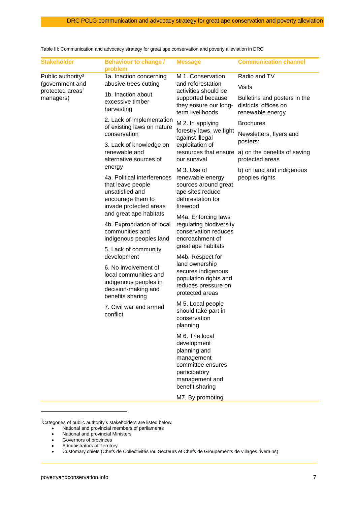| <b>Stakeholder</b>                               | <b>Behaviour to change /</b><br>problem                                                                                                                                                                                              | <b>Message</b>                                                                                                                                    | <b>Communication channel</b>                                              |
|--------------------------------------------------|--------------------------------------------------------------------------------------------------------------------------------------------------------------------------------------------------------------------------------------|---------------------------------------------------------------------------------------------------------------------------------------------------|---------------------------------------------------------------------------|
| Public authority <sup>3</sup><br>(government and | 1a. Inaction concerning<br>abusive trees cutting                                                                                                                                                                                     | M 1. Conservation<br>and reforestation                                                                                                            | Radio and TV<br><b>Visits</b>                                             |
| protected areas'                                 | 1b. Inaction about                                                                                                                                                                                                                   | activities should be                                                                                                                              |                                                                           |
| managers)                                        | excessive timber<br>harvesting                                                                                                                                                                                                       | supported because<br>they ensure our long-<br>term livelihoods                                                                                    | Bulletins and posters in the<br>districts' offices on<br>renewable energy |
|                                                  | 2. Lack of implementation<br>of existing laws on nature                                                                                                                                                                              | M 2. In applying                                                                                                                                  | <b>Brochures</b>                                                          |
|                                                  | conservation                                                                                                                                                                                                                         | forestry laws, we fight<br>against illegal                                                                                                        | Newsletters, flyers and<br>posters:                                       |
|                                                  | 3. Lack of knowledge on<br>renewable and                                                                                                                                                                                             | exploitation of<br>resources that ensure                                                                                                          | a) on the benefits of saving                                              |
|                                                  | alternative sources of                                                                                                                                                                                                               | our survival                                                                                                                                      | protected areas                                                           |
|                                                  | energy                                                                                                                                                                                                                               | M 3. Use of                                                                                                                                       | b) on land and indigenous                                                 |
|                                                  | 4a. Political interferences<br>that leave people<br>unsatisfied and<br>encourage them to<br>invade protected areas                                                                                                                   | renewable energy<br>sources around great<br>ape sites reduce<br>deforestation for<br>firewood                                                     | peoples rights                                                            |
|                                                  | and great ape habitats                                                                                                                                                                                                               | M4a. Enforcing laws                                                                                                                               |                                                                           |
|                                                  | 4b. Expropriation of local<br>communities and<br>indigenous peoples land<br>5. Lack of community<br>development<br>6. No involvement of<br>local communities and<br>indigenous peoples in<br>decision-making and<br>benefits sharing | regulating biodiversity<br>conservation reduces<br>encroachment of                                                                                |                                                                           |
|                                                  |                                                                                                                                                                                                                                      | great ape habitats<br>M4b. Respect for<br>land ownership<br>secures indigenous<br>population rights and<br>reduces pressure on<br>protected areas |                                                                           |
|                                                  |                                                                                                                                                                                                                                      |                                                                                                                                                   |                                                                           |
|                                                  | 7. Civil war and armed<br>conflict                                                                                                                                                                                                   | M 5. Local people<br>should take part in<br>conservation<br>planning                                                                              |                                                                           |
|                                                  |                                                                                                                                                                                                                                      | M 6. The local<br>development<br>planning and<br>management<br>committee ensures<br>participatory<br>management and<br>benefit sharing            |                                                                           |
|                                                  |                                                                                                                                                                                                                                      | M7. By promoting                                                                                                                                  |                                                                           |

Table III: Communication and advocacy strategy for great ape conservation and poverty alleviation in DRC

<sup>3</sup>Categories of public authority's stakeholders are listed below:

- National and provincial members of parliaments
- National and provincial Ministers
- Governors of provinces
- Administrators of Territory
- Customary chiefs (Chefs de Collectivités /ou Secteurs et Chefs de Groupements de villages riverains)

 $\overline{a}$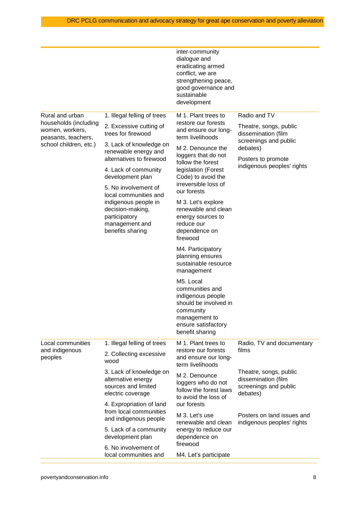|                                                                                    |                                                                                                 | inter-community<br>dialogue and<br>eradicating armed<br>conflict, we are<br>strengthening peace,<br>good governance and<br>sustainable<br>development |                                                                                        |
|------------------------------------------------------------------------------------|-------------------------------------------------------------------------------------------------|-------------------------------------------------------------------------------------------------------------------------------------------------------|----------------------------------------------------------------------------------------|
| Rural and urban<br>households (including<br>women, workers,<br>peasants, teachers, | 1. Illegal felling of trees<br>2. Excessive cutting of<br>trees for firewood                    | M 1. Plant trees to<br>restore our forests<br>and ensure our long-<br>term livelihoods                                                                | Radio and TV<br>Theatre, songs, public<br>dissemination (film<br>screenings and public |
| school children, etc.)                                                             | 3. Lack of knowledge on<br>renewable energy and<br>alternatives to firewood                     | M 2. Denounce the<br>loggers that do not                                                                                                              | debates)<br>Posters to promote                                                         |
|                                                                                    | 4. Lack of community<br>development plan                                                        | follow the forest<br>legislation (Forest<br>Code) to avoid the<br>irreversible loss of                                                                | indigenous peoples' rights                                                             |
|                                                                                    | 5. No involvement of<br>local communities and                                                   | our forests                                                                                                                                           |                                                                                        |
|                                                                                    | indigenous people in<br>decision-making,<br>participatory<br>management and<br>benefits sharing | M 3. Let's explore<br>renewable and clean<br>energy sources to<br>reduce our<br>dependence on<br>firewood                                             |                                                                                        |
|                                                                                    |                                                                                                 | M4. Participatory<br>planning ensures<br>sustainable resource<br>management                                                                           |                                                                                        |
|                                                                                    |                                                                                                 | M5. Local<br>communities and<br>indigenous people<br>should be involved in<br>community<br>management to<br>ensure satisfactory<br>benefit sharing    |                                                                                        |
| Local communities<br>and indigenous<br>peoples                                     | 1. Illegal felling of trees<br>2. Collecting excessive<br>wood                                  | M 1. Plant trees to<br>restore our forests<br>and ensure our long-<br>term livelihoods                                                                | Radio, TV and documentary<br>films                                                     |
|                                                                                    | 3. Lack of knowledge on<br>alternative energy<br>sources and limited<br>electric coverage       | M 2. Denounce<br>loggers who do not<br>follow the forest laws<br>to avoid the loss of                                                                 | Theatre, songs, public<br>dissemination (film<br>screenings and public<br>debates)     |
|                                                                                    | 4. Expropriation of land<br>from local communities                                              | our forests<br>M 3. Let's use                                                                                                                         | Posters on land issues and                                                             |
|                                                                                    | and indigenous people<br>5. Lack of a community<br>development plan                             | renewable and clean<br>energy to reduce our<br>dependence on                                                                                          | indigenous peoples' rights                                                             |
|                                                                                    | 6. No involvement of                                                                            | firewood                                                                                                                                              |                                                                                        |
|                                                                                    | local communities and                                                                           | M4. Let's participate                                                                                                                                 |                                                                                        |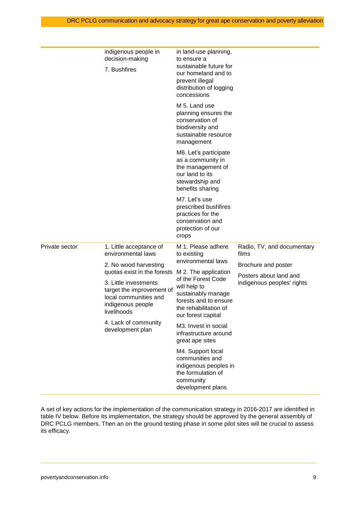|                | indigenous people in<br>decision-making<br>7. Bushfires                                                                                                                                                             | in land-use planning,<br>to ensure a<br>sustainable future for<br>our homeland and to<br>prevent illegal<br>distribution of logging<br>concessions       |                                                      |
|----------------|---------------------------------------------------------------------------------------------------------------------------------------------------------------------------------------------------------------------|----------------------------------------------------------------------------------------------------------------------------------------------------------|------------------------------------------------------|
|                |                                                                                                                                                                                                                     | M 5. Land use<br>planning ensures the<br>conservation of<br>biodiversity and<br>sustainable resource<br>management                                       |                                                      |
|                |                                                                                                                                                                                                                     | M6. Let's participate<br>as a community in<br>the management of<br>our land to its<br>stewardship and<br>benefits sharing                                |                                                      |
|                |                                                                                                                                                                                                                     | M7. Let's use<br>prescribed bushfires<br>practices for the<br>conservation and<br>protection of our<br>crops                                             |                                                      |
| Private sector | 1. Little acceptance of<br>environmental laws                                                                                                                                                                       | M 1. Please adhere<br>to existing                                                                                                                        | Radio, TV, and documentary<br>films                  |
|                | 2. No wood harvesting<br>quotas exist in the forests<br>3. Little investments<br>target the improvement of<br>local communities and<br>indigenous people<br>livelihoods<br>4. Lack of community<br>development plan | environmental laws                                                                                                                                       | Brochure and poster                                  |
|                |                                                                                                                                                                                                                     | M 2. The application<br>of the Forest Code<br>will help to<br>sustainably manage<br>forests and to ensure<br>the rehabilitation of<br>our forest capital | Posters about land and<br>indigenous peoples' rights |
|                |                                                                                                                                                                                                                     | M3. Invest in social<br>infrastructure around<br>great ape sites                                                                                         |                                                      |
|                |                                                                                                                                                                                                                     | M4. Support local<br>communities and<br>indigenous peoples in<br>the formulation of<br>community<br>development plans                                    |                                                      |

A set of key actions for the implementation of the communication strategy in 2016-2017 are identified in table IV below. Before its implementation, the strategy should be approved by the general assembly of DRC PCLG members. Then an on the ground testing phase in some pilot sites will be crucial to assess its efficacy.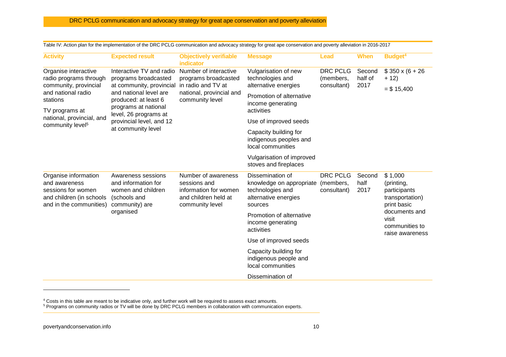| <b>Activity</b>                                                                                                    | <b>Expected result</b>                                                                                                                                 | <b>Objectively verifiable</b><br><b>indicator</b>                                                                  | <b>Message</b>                                                                                      | <b>Lead</b>                                 | <b>When</b>            | Budget <sup>4</sup>                                                     |
|--------------------------------------------------------------------------------------------------------------------|--------------------------------------------------------------------------------------------------------------------------------------------------------|--------------------------------------------------------------------------------------------------------------------|-----------------------------------------------------------------------------------------------------|---------------------------------------------|------------------------|-------------------------------------------------------------------------|
| Organise interactive<br>radio programs through                                                                     | Interactive TV and radio<br>programs broadcasted<br>at community, provincial<br>and national level are<br>produced: at least 6<br>programs at national | Number of interactive<br>programs broadcasted<br>in radio and TV at<br>national, provincial and<br>community level | Vulgarisation of new<br>technologies and                                                            | <b>DRC PCLG</b><br>(members,<br>consultant) | Second<br>half of      | $$350 \times (6 + 26)$<br>$+ 12)$                                       |
| community, provincial<br>and national radio<br>stations<br>TV programs at                                          |                                                                                                                                                        |                                                                                                                    | alternative energies<br>Promotion of alternative<br>income generating<br>activities                 |                                             | 2017                   |                                                                         |
| national, provincial, and<br>community level <sup>5</sup>                                                          | level, 26 programs at<br>provincial level, and 12                                                                                                      |                                                                                                                    | Use of improved seeds                                                                               |                                             |                        |                                                                         |
|                                                                                                                    | at community level                                                                                                                                     |                                                                                                                    | Capacity building for<br>indigenous peoples and<br>local communities                                |                                             |                        |                                                                         |
|                                                                                                                    |                                                                                                                                                        |                                                                                                                    | Vulgarisation of improved<br>stoves and fireplaces                                                  |                                             |                        |                                                                         |
| Organise information<br>and awareness<br>sessions for women<br>and children (in schools<br>and in the communities) | Awareness sessions<br>and information for<br>women and children<br>(schools and<br>community) are<br>organised                                         | Number of awareness<br>sessions and<br>information for women<br>and children held at<br>community level            | Dissemination of<br>knowledge on appropriate<br>technologies and<br>alternative energies<br>sources | <b>DRC PCLG</b><br>(members,<br>consultant) | Second<br>half<br>2017 | \$1,000<br>(printing,<br>participants<br>transportation)<br>print basic |
|                                                                                                                    |                                                                                                                                                        |                                                                                                                    | Promotion of alternative<br>income generating<br>activities                                         |                                             |                        | documents and<br>visit<br>communities to<br>raise awareness             |
|                                                                                                                    |                                                                                                                                                        |                                                                                                                    | Use of improved seeds                                                                               |                                             |                        |                                                                         |
|                                                                                                                    |                                                                                                                                                        |                                                                                                                    | Capacity building for<br>indigenous people and<br>local communities                                 |                                             |                        |                                                                         |
|                                                                                                                    |                                                                                                                                                        |                                                                                                                    | Dissemination of                                                                                    |                                             |                        |                                                                         |

Table IV: Action plan for the implementation of the DRC PCLG communication and advocacy strategy for great ape conservation and poverty alleviation in 2016-2017

<sup>4</sup> Costs in this table are meant to be indicative only, and further work will be required to assess exact amounts.

<sup>5</sup> Programs on community radios or TV will be done by DRC PCLG members in collaboration with communication experts.

<span id="page-9-0"></span>-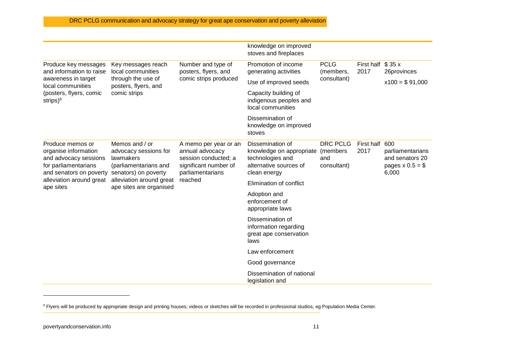|                                                                                                                      |                                                                                                                                                              |                                                                                                               | knowledge on improved<br>stoves and fireplaces                                                             |                                                   |                           |                                                                   |
|----------------------------------------------------------------------------------------------------------------------|--------------------------------------------------------------------------------------------------------------------------------------------------------------|---------------------------------------------------------------------------------------------------------------|------------------------------------------------------------------------------------------------------------|---------------------------------------------------|---------------------------|-------------------------------------------------------------------|
| Produce key messages<br>and information to raise                                                                     | Key messages reach<br>local communities<br>through the use of<br>posters, flyers, and<br>comic strips                                                        | Number and type of<br>posters, flyers, and<br>comic strips produced                                           | Promotion of income<br>generating activities                                                               | <b>PCLG</b><br>(members,<br>consultant)           | First half \$35 x<br>2017 | 26provinces                                                       |
| awareness in target<br>local communities                                                                             |                                                                                                                                                              |                                                                                                               | Use of improved seeds                                                                                      |                                                   |                           | $x100 = $91,000$                                                  |
| (posters, flyers, comic<br>strips $)^6$                                                                              |                                                                                                                                                              |                                                                                                               | Capacity building of<br>indigenous peoples and<br>local communities                                        |                                                   |                           |                                                                   |
|                                                                                                                      |                                                                                                                                                              |                                                                                                               | Dissemination of<br>knowledge on improved<br>stoves                                                        |                                                   |                           |                                                                   |
| Produce memos or<br>organise information<br>and advocacy sessions<br>for parliamentarians<br>and senators on poverty | Memos and / or<br>advocacy sessions for<br>lawmakers<br>(parliamentarians and<br>senators) on poverty<br>alleviation around great<br>ape sites are organised | A memo per year or an<br>annual advocacy<br>session conducted; a<br>significant number of<br>parliamentarians | Dissemination of<br>knowledge on appropriate<br>technologies and<br>alternative sources of<br>clean energy | <b>DRC PCLG</b><br>(members<br>and<br>consultant) | First half 600<br>2017    | parliamentarians<br>and senators 20<br>pages $x 0.5 = $$<br>6,000 |
| alleviation around great<br>ape sites                                                                                |                                                                                                                                                              | reached                                                                                                       | Elimination of conflict                                                                                    |                                                   |                           |                                                                   |
|                                                                                                                      |                                                                                                                                                              |                                                                                                               | Adoption and<br>enforcement of<br>appropriate laws                                                         |                                                   |                           |                                                                   |
|                                                                                                                      |                                                                                                                                                              |                                                                                                               | Dissemination of<br>information regarding<br>great ape conservation<br>laws                                |                                                   |                           |                                                                   |
|                                                                                                                      |                                                                                                                                                              |                                                                                                               | Law enforcement                                                                                            |                                                   |                           |                                                                   |
|                                                                                                                      |                                                                                                                                                              |                                                                                                               | Good governance                                                                                            |                                                   |                           |                                                                   |
|                                                                                                                      |                                                                                                                                                              |                                                                                                               | Dissemination of national<br>legislation and                                                               |                                                   |                           |                                                                   |

<sup>&</sup>lt;sup>6</sup> Flyers will be produced by appropriate design and printing houses; videos or sketches will be recorded in professional studios, eg Population Media Center.

-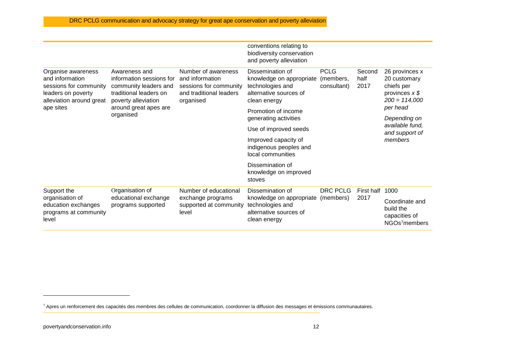|                                                                                                                   |                                                                                                                                                           |                                                                                                          | conventions relating to<br>biodiversity conservation<br>and poverty alleviation                            |                                         |                        |                                                                                     |
|-------------------------------------------------------------------------------------------------------------------|-----------------------------------------------------------------------------------------------------------------------------------------------------------|----------------------------------------------------------------------------------------------------------|------------------------------------------------------------------------------------------------------------|-----------------------------------------|------------------------|-------------------------------------------------------------------------------------|
| Organise awareness<br>and information<br>sessions for community<br>leaders on poverty<br>alleviation around great | Awareness and<br>information sessions for<br>community leaders and<br>traditional leaders on<br>poverty alleviation<br>around great apes are<br>organised | Number of awareness<br>and information<br>sessions for community<br>and traditional leaders<br>organised | Dissemination of<br>knowledge on appropriate<br>technologies and<br>alternative sources of<br>clean energy | <b>PCLG</b><br>(members,<br>consultant) | Second<br>half<br>2017 | 26 provinces x<br>20 customary<br>chiefs per<br>provinces $x$ \$<br>$200 = 114,000$ |
| ape sites                                                                                                         |                                                                                                                                                           |                                                                                                          | Promotion of income<br>generating activities                                                               |                                         |                        | per head<br>Depending on                                                            |
|                                                                                                                   |                                                                                                                                                           |                                                                                                          | Use of improved seeds                                                                                      |                                         |                        | available fund,<br>and support of<br>members                                        |
|                                                                                                                   |                                                                                                                                                           |                                                                                                          | Improved capacity of<br>indigenous peoples and<br>local communities                                        |                                         |                        |                                                                                     |
|                                                                                                                   |                                                                                                                                                           |                                                                                                          | Dissemination of<br>knowledge on improved<br>stoves                                                        |                                         |                        |                                                                                     |
| Support the                                                                                                       | Organisation of                                                                                                                                           | Number of educational                                                                                    | Dissemination of                                                                                           | <b>DRC PCLG</b>                         | First half             | 1000                                                                                |
| organisation of<br>education exchanges<br>programs at community<br>level                                          | educational exchange<br>programs supported                                                                                                                | exchange programs<br>supported at community<br>level                                                     | knowledge on appropriate (members)<br>technologies and<br>alternative sources of<br>clean energy           |                                         | 2017                   | Coordinate and<br>build the<br>capacities of<br>NGOs7members                        |

-

<sup>7</sup> Apres un renforcement des capacités des membres des cellules de communication, coordonner la diffusion des messages et émissions communautaires.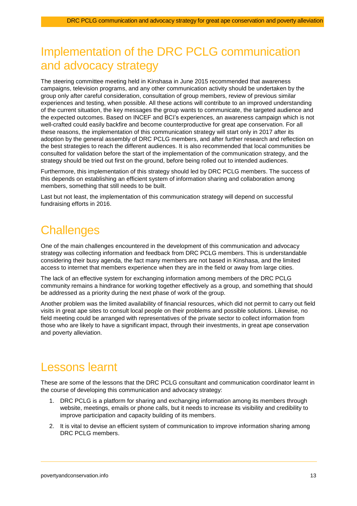# <span id="page-12-0"></span>Implementation of the DRC PCLG communication and advocacy strategy

The steering committee meeting held in Kinshasa in June 2015 recommended that awareness campaigns, television programs, and any other communication activity should be undertaken by the group only after careful consideration, consultation of group members, review of previous similar experiences and testing, when possible. All these actions will contribute to an improved understanding of the current situation, the key messages the group wants to communicate, the targeted audience and the expected outcomes. Based on INCEF and BCI's experiences, an awareness campaign which is not well-crafted could easily backfire and become counterproductive for great ape conservation. For all these reasons, the implementation of this communication strategy will start only in 2017 after its adoption by the general assembly of DRC PCLG members, and after further research and reflection on the best strategies to reach the different audiences. It is also recommended that local communities be consulted for validation before the start of the implementation of the communication strategy, and the strategy should be tried out first on the ground, before being rolled out to intended audiences.

Furthermore, this implementation of this strategy should led by DRC PCLG members. The success of this depends on establishing an efficient system of information sharing and collaboration among members, something that still needs to be built.

Last but not least, the implementation of this communication strategy will depend on successful fundraising efforts in 2016.

### <span id="page-12-1"></span>**Challenges**

One of the main challenges encountered in the development of this communication and advocacy strategy was collecting information and feedback from DRC PCLG members. This is understandable considering their busy agenda, the fact many members are not based in Kinshasa, and the limited access to internet that members experience when they are in the field or away from large cities.

The lack of an effective system for exchanging information among members of the DRC PCLG community remains a hindrance for working together effectively as a group, and something that should be addressed as a priority during the next phase of work of the group.

Another problem was the limited availability of financial resources, which did not permit to carry out field visits in great ape sites to consult local people on their problems and possible solutions. Likewise, no field meeting could be arranged with representatives of the private sector to collect information from those who are likely to have a significant impact, through their investments, in great ape conservation and poverty alleviation.

### <span id="page-12-2"></span>Lessons learnt

These are some of the lessons that the DRC PCLG consultant and communication coordinator learnt in the course of developing this communication and advocacy strategy:

- 1. DRC PCLG is a platform for sharing and exchanging information among its members through website, meetings, emails or phone calls, but it needs to increase its visibility and credibility to improve participation and capacity building of its members.
- 2. It is vital to devise an efficient system of communication to improve information sharing among DRC PCLG members.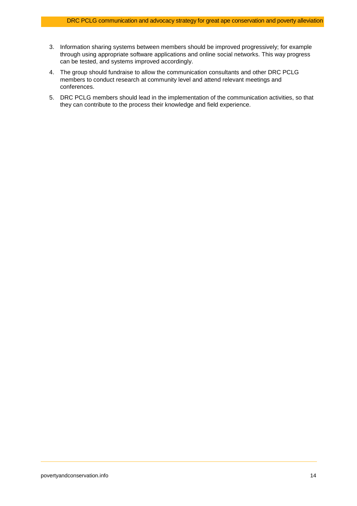- 3. Information sharing systems between members should be improved progressively; for example through using appropriate software applications and online social networks. This way progress can be tested, and systems improved accordingly.
- 4. The group should fundraise to allow the communication consultants and other DRC PCLG members to conduct research at community level and attend relevant meetings and conferences.
- 5. DRC PCLG members should lead in the implementation of the communication activities, so that they can contribute to the process their knowledge and field experience.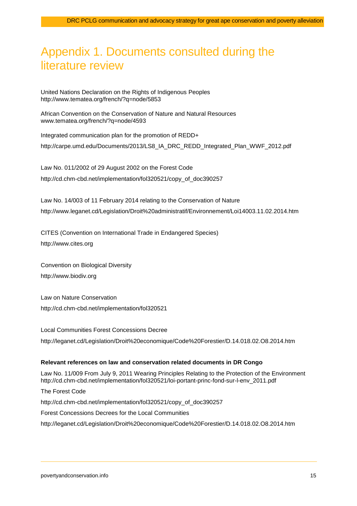# <span id="page-14-0"></span>Appendix 1. Documents consulted during the literature review

United Nations Declaration on the Rights of Indigenous Peoples <http://www.tematea.org/french/?q=node/5853>

African Convention on the Conservation of Nature and Natural Resources [www.tematea.org/french/?q=node/4593](http://www.tematea.org/french/?q=node/4593)

Integrated communication plan for the promotion of REDD+ [http://carpe.umd.edu/Documents/2013/LS8\\_IA\\_DRC\\_REDD\\_Integrated\\_Plan\\_WWF\\_2012.pdf](http://carpe.umd.edu/Documents/2013/LS8_IA_DRC_REDD_Integrated_Plan_WWF_2012.pdf)

Law No. 011/2002 of 29 August 2002 on the Forest Code [http://cd.chm-cbd.net/implementation/fol320521/copy\\_of\\_doc390257](http://cd.chm-cbd.net/implementation/fol320521/copy_of_doc390257)

Law No. 14/003 of 11 February 2014 relating to the Conservation of Nature <http://www.leganet.cd/Legislation/Droit%20administratif/Environnement/Loi14003.11.02.2014.htm>

CITES (Convention on International Trade in Endangered Species) [http://www.cites.org](http://www.cites.org/)

Convention on Biological Diversity [http://www.biodiv.org](http://www.biodiv.org/)

Law on Nature Conservation <http://cd.chm-cbd.net/implementation/fol320521>

Local Communities Forest Concessions Decree <http://leganet.cd/Legislation/Droit%20economique/Code%20Forestier/D.14.018.02.O8.2014.htm>

#### **Relevant references on law and conservation related documents in DR Congo**

Law No. 11/009 From July 9, 2011 Wearing Principles Relating to the Protection of the Environment [http://cd.chm-cbd.net/implementation/fol320521/loi-portant-princ-fond-sur-l-env\\_2011.pdf](http://cd.chm-cbd.net/implementation/fol320521/loi-portant-princ-fond-sur-l-env_2011.pdf)

The Forest Code [http://cd.chm-cbd.net/implementation/fol320521/copy\\_of\\_doc390257](http://cd.chm-cbd.net/implementation/fol320521/copy_of_doc390257) Forest Concessions Decrees for the Local Communities <http://leganet.cd/Legislation/Droit%20economique/Code%20Forestier/D.14.018.02.O8.2014.htm>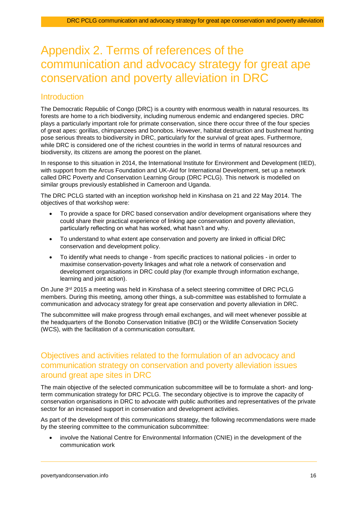# <span id="page-15-0"></span>Appendix 2. Terms of references of the communication and advocacy strategy for great ape conservation and poverty alleviation in DRC

### **Introduction**

The Democratic Republic of Congo (DRC) is a country with enormous wealth in natural resources. Its forests are home to a rich biodiversity, including numerous endemic and endangered species. DRC plays a particularly important role for primate conservation, since there occur three of the four species of great apes: gorillas, chimpanzees and bonobos. However, habitat destruction and bushmeat hunting pose serious threats to biodiversity in DRC, particularly for the survival of great apes. Furthermore, while DRC is considered one of the richest countries in the world in terms of natural resources and biodiversity, its citizens are among the poorest on the planet.

In response to this situation in 2014, the International Institute for Environment and Development (IIED), with support from the Arcus Foundation and UK-Aid for International Development, set up a network called DRC Poverty and Conservation Learning Group (DRC PCLG). This network is modelled on similar groups previously established in Cameroon and Uganda.

The DRC PCLG started with an inception workshop held in Kinshasa on 21 and 22 May 2014. The objectives of that workshop were:

- To provide a space for DRC based conservation and/or development organisations where they could share their practical experience of linking ape conservation and poverty alleviation, particularly reflecting on what has worked, what hasn't and why.
- To understand to what extent ape conservation and poverty are linked in official DRC conservation and development policy.
- To identify what needs to change from specific practices to national policies in order to maximise conservation-poverty linkages and what role a network of conservation and development organisations in DRC could play (for example through information exchange, learning and joint action).

On June 3rd 2015 a meeting was held in Kinshasa of a select steering committee of DRC PCLG members. During this meeting, among other things, a sub-committee was established to formulate a communication and advocacy strategy for great ape conservation and poverty alleviation in DRC.

The subcommittee will make progress through email exchanges, and will meet whenever possible at the headquarters of the Bonobo Conservation Initiative (BCI) or the Wildlife Conservation Society (WCS), with the facilitation of a communication consultant.

### Objectives and activities related to the formulation of an advocacy and communication strategy on conservation and poverty alleviation issues around great ape sites in DRC

The main objective of the selected communication subcommittee will be to formulate a short- and longterm communication strategy for DRC PCLG. The secondary objective is to improve the capacity of conservation organisations in DRC to advocate with public authorities and representatives of the private sector for an increased support in conservation and development activities.

As part of the development of this communications strategy, the following recommendations were made by the steering committee to the communication subcommittee:

 involve the National Centre for Environmental Information (CNIE) in the development of the communication work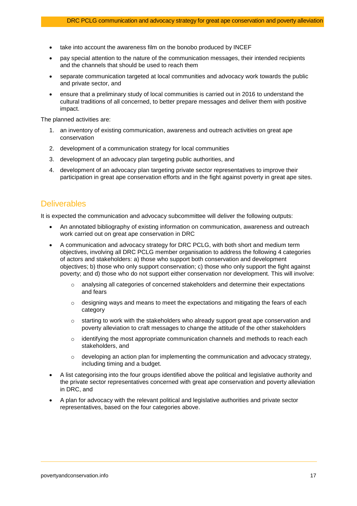- take into account the awareness film on the bonobo produced by INCEF
- pay special attention to the nature of the communication messages, their intended recipients and the channels that should be used to reach them
- separate communication targeted at local communities and advocacy work towards the public and private sector, and
- ensure that a preliminary study of local communities is carried out in 2016 to understand the cultural traditions of all concerned, to better prepare messages and deliver them with positive impact.

The planned activities are:

- 1. an inventory of existing communication, awareness and outreach activities on great ape conservation
- 2. development of a communication strategy for local communities
- 3. development of an advocacy plan targeting public authorities, and
- 4. development of an advocacy plan targeting private sector representatives to improve their participation in great ape conservation efforts and in the fight against poverty in great ape sites.

### **Deliverables**

It is expected the communication and advocacy subcommittee will deliver the following outputs:

- An annotated bibliography of existing information on communication, awareness and outreach work carried out on great ape conservation in DRC
- A communication and advocacy strategy for DRC PCLG, with both short and medium term objectives, involving all DRC PCLG member organisation to address the following 4 categories of actors and stakeholders: a) those who support both conservation and development objectives; b) those who only support conservation; c) those who only support the fight against poverty; and d) those who do not support either conservation nor development. This will involve:
	- o analysing all categories of concerned stakeholders and determine their expectations and fears
	- $\circ$  designing ways and means to meet the expectations and mitigating the fears of each category
	- $\circ$  starting to work with the stakeholders who already support great ape conservation and poverty alleviation to craft messages to change the attitude of the other stakeholders
	- $\circ$  identifying the most appropriate communication channels and methods to reach each stakeholders, and
	- $\circ$  developing an action plan for implementing the communication and advocacy strategy, including timing and a budget.
- A list categorising into the four groups identified above the political and legislative authority and the private sector representatives concerned with great ape conservation and poverty alleviation in DRC, and
- A plan for advocacy with the relevant political and legislative authorities and private sector representatives, based on the four categories above.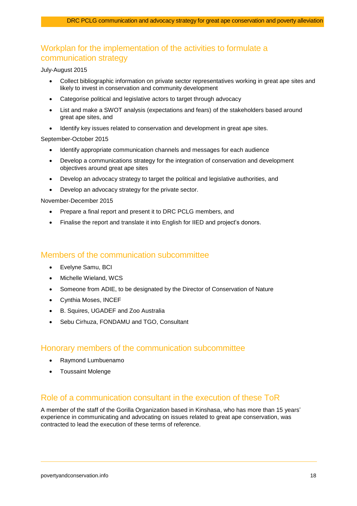### Workplan for the implementation of the activities to formulate a communication strategy

July-August 2015

- Collect bibliographic information on private sector representatives working in great ape sites and likely to invest in conservation and community development
- Categorise political and legislative actors to target through advocacy
- List and make a SWOT analysis (expectations and fears) of the stakeholders based around great ape sites, and
- Identify key issues related to conservation and development in great ape sites.

#### September-October 2015

- Identify appropriate communication channels and messages for each audience
- Develop a communications strategy for the integration of conservation and development objectives around great ape sites
- Develop an advocacy strategy to target the political and legislative authorities, and
- Develop an advocacy strategy for the private sector.

November-December 2015

- Prepare a final report and present it to DRC PCLG members, and
- Finalise the report and translate it into English for IIED and project's donors.

### Members of the communication subcommittee

- Evelyne Samu, BCI
- Michelle Wieland, WCS
- Someone from ADIE, to be designated by the Director of Conservation of Nature
- Cynthia Moses, INCEF
- B. Squires, UGADEF and Zoo Australia
- Sebu Cirhuza, FONDAMU and TGO, Consultant

### Honorary members of the communication subcommittee

- Raymond Lumbuenamo
- Toussaint Molenge

### Role of a communication consultant in the execution of these ToR

A member of the staff of the Gorilla Organization based in Kinshasa, who has more than 15 years' experience in communicating and advocating on issues related to great ape conservation, was contracted to lead the execution of these terms of reference.